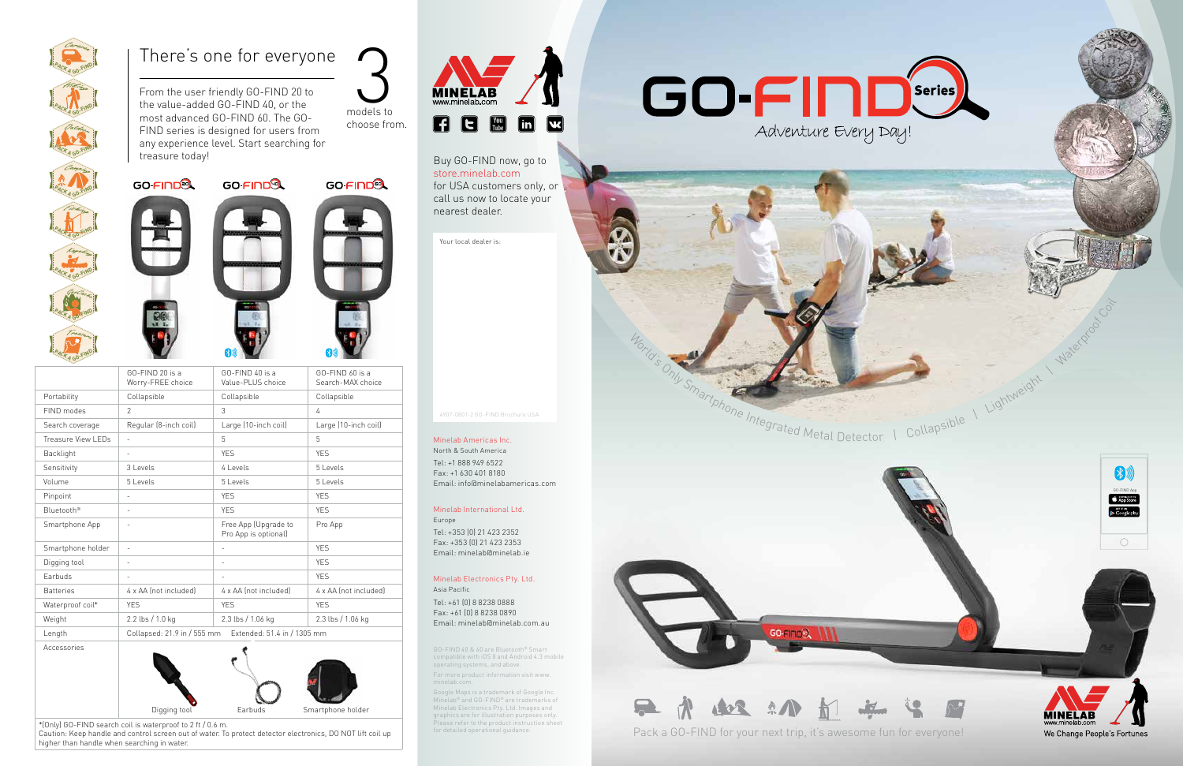| "KA GO-F"           |                                                            | $\mathbb{R}$ and $\mathbb{R}$                |                                      |
|---------------------|------------------------------------------------------------|----------------------------------------------|--------------------------------------|
|                     | GO-FIND 20 is a<br>Worry-FREE choice                       | GO-FIND 40 is a<br>Value-PLUS choice         | GO-FIND 60 is a<br>Search-MAX choice |
| Portability         | Collapsible                                                | Collapsible                                  | Collapsible                          |
| FIND modes          | $\mathfrak{D}$                                             | 3                                            | 4                                    |
| Search coverage     | Regular (8-inch coil)                                      | Large (10-inch coil)                         | Large (10-inch coil)                 |
| Treasure View I FDs | $\overline{a}$                                             | 5                                            | 5                                    |
| Backlight           | $\overline{\phantom{a}}$                                   | <b>YFS</b>                                   | <b>YFS</b>                           |
| Sensitivity         | $3$ l evels                                                | $4$ l evels                                  | $5$ l evels                          |
| Volume              | 5 Levels                                                   | 5 Levels                                     | 5 Levels                             |
| Pinpoint            | $\overline{a}$                                             | <b>YES</b>                                   | <b>YES</b>                           |
| Bluetooth®          | $\overline{\phantom{a}}$                                   | <b>YES</b>                                   | <b>YES</b>                           |
| Smartphone App      |                                                            | Free App (Upgrade to<br>Pro App is optional) | Pro App                              |
| Smartphone holder   | $\overline{a}$                                             |                                              | <b>YFS</b>                           |
| Digging tool        | $\overline{a}$                                             | $\sim$                                       | <b>YFS</b>                           |
| Farbuds             | $\qquad \qquad =$                                          |                                              | <b>YFS</b>                           |
| <b>Batteries</b>    | 4 x AA (not included)                                      | 4 x AA (not included)                        | 4 x AA (not included)                |
| Waterproof coil*    | <b>YES</b>                                                 | <b>YFS</b>                                   | <b>YFS</b>                           |
| Weight              | 2.2 lbs / 1.0 kg                                           | 2.3 lbs / 1.06 kg                            | 2.3 lbs / 1.06 kg                    |
| Length              | Collapsed: 21.9 in / 555 mm<br>Extended: 51.4 in / 1305 mm |                                              |                                      |
| Accessories         |                                                            |                                              |                                      |



<sup>\*(</sup>Only) GO-FIND search coil is waterproof to 2 ft / 0.6 m.

Caution: Keep handle and control screen out of water. To protect detector electronics, DO NOT lift coil up higher than handle when searching in water.



From the user friendly GO-FIND 20 to the value-added GO-FIND 40, or the most advanced GO-FIND 60. The GO-FIND series is designed for users from any experience level. Start searching for treasure today!









models to

Buy GO-FIND now, go to store.minelab.com for USA customers only, or call us now to locate your nearest dealer.

## There's one for everyone

Your local dealer is:



4907-0801-2 GO-FIND Brochure USA

GO-FIND 40 & 60 are Bluetooth® Smart compatible with iOS 8 and Android 4.3 mobile operating systems, and above. For more product information visit www.

minelab.com.

Google Maps is a trademark of Google Inc. Minelab® and GO-FIND® are trademarks of Minelab Electronics Pty. Ltd. Images and graphics are for illustration purposes only. Please refer to the product instruction sheet for detailed operational guidance.



Pack a GO-FIND for your next trip, it's awesome fun for everyone!



Waterproof Coil



Collapsible | Lightweight



We Change People's Fortunes

Minelab Americas Inc.

North & South America Tel: +1 888 949 6522 Fax: +1 630 401 8180 Email: info@minelabamericas.com

## Minelab International Ltd.

Europe Tel: +353 (0) 21 423 2352 Fax: +353 (0) 21 423 2353 Email: minelab@minelab.ie

#### Minelab Electronics Pty. Ltd. Asia Pacific

Tel: +61 (0) 8 8238 0888 Fax: +61 (0) 8 8238 0890 Email: minelab@minelab.com.au





choose from.